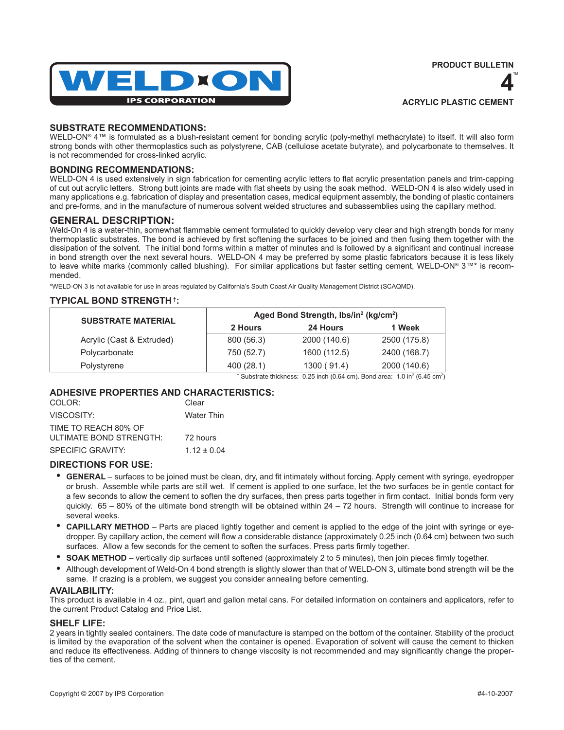



# **SUBSTRATE RECOMMENDATIONS:**

WELD-ON® 4™ is formulated as a blush-resistant cement for bonding acrylic (poly-methyl methacrylate) to itself. It will also form strong bonds with other thermoplastics such as polystyrene, CAB (cellulose acetate butyrate), and polycarbonate to themselves. It is not recommended for cross-linked acrylic.

# **BONDING RECOMMENDATIONS:**

WELD-ON 4 is used extensively in sign fabrication for cementing acrylic letters to flat acrylic presentation panels and trim-capping of cut out acrylic letters. Strong butt joints are made with flat sheets by using the soak method. WELD-ON 4 is also widely used in many applications e.g. fabrication of display and presentation cases, medical equipment assembly, the bonding of plastic containers and pre-forms, and in the manufacture of numerous solvent welded structures and subassemblies using the capillary method.

# **GENERAL DESCRIPTION:**

Weld-On 4 is a water-thin, somewhat flammable cement formulated to quickly develop very clear and high strength bonds for many thermoplastic substrates. The bond is achieved by first softening the surfaces to be joined and then fusing them together with the dissipation of the solvent. The initial bond forms within a matter of minutes and is followed by a significant and continual increase in bond strength over the next several hours. WELD-ON 4 may be preferred by some plastic fabricators because it is less likely to leave white marks (commonly called blushing). For similar applications but faster setting cement, WELD-ON® 3™\* is recommended.

\*WELD-ON 3 is not available for use in areas regulated by California's South Coast Air Quality Management District (SCAQMD).

## **TYPICAL BOND STRENGTH †:**

| <b>SUBSTRATE MATERIAL</b> | Aged Bond Strength, Ibs/in <sup>2</sup> (kg/cm <sup>2</sup> ) |                                                                                                               |              |
|---------------------------|---------------------------------------------------------------|---------------------------------------------------------------------------------------------------------------|--------------|
|                           | 2 Hours                                                       | 24 Hours                                                                                                      | 1 Week       |
| Acrylic (Cast & Extruded) | 800 (56.3)                                                    | 2000 (140.6)                                                                                                  | 2500 (175.8) |
| Polycarbonate             | 750 (52.7)                                                    | 1600 (112.5)                                                                                                  | 2400 (168.7) |
| Polystyrene               | 400 (28.1)                                                    | 1300(91.4)                                                                                                    | 2000 (140.6) |
|                           |                                                               | <sup>†</sup> Substrate thickness: 0.25 inch (0.64 cm). Bond area: 1.0 in <sup>2</sup> (6.45 cm <sup>2</sup> ) |              |

## **ADHESIVE PROPERTIES AND CHARACTERISTICS:**

| COLOR:                  | Clear             |
|-------------------------|-------------------|
| VISCOSITY:              | <b>Water Thin</b> |
| TIME TO REACH 80% OF    |                   |
| ULTIMATE BOND STRENGTH: | 72 hours          |
| SPECIFIC GRAVITY:       | $1.12 + 0.04$     |

## **DIRECTIONS FOR USE:**

- **GENERAL** surfaces to be joined must be clean, dry, and fit intimately without forcing. Apply cement with syringe, eyedropper or brush. Assemble while parts are still wet. If cement is applied to one surface, let the two surfaces be in gentle contact for a few seconds to allow the cement to soften the dry surfaces, then press parts together in firm contact. Initial bonds form very quickly.  $65 - 80\%$  of the ultimate bond strength will be obtained within  $24 - 72$  hours. Strength will continue to increase for several weeks.
- **CAPILLARY METHOD** Parts are placed lightly together and cement is applied to the edge of the joint with syringe or eyedropper. By capillary action, the cement will flow a considerable distance (approximately 0.25 inch (0.64 cm) between two such surfaces. Allow a few seconds for the cement to soften the surfaces. Press parts firmly together.
- **SOAK METHOD** vertically dip surfaces until softened (approximately 2 to 5 minutes), then join pieces firmly together.
- Although development of Weld-On 4 bond strength is slightly slower than that of WELD-ON 3, ultimate bond strength will be the same. If crazing is a problem, we suggest you consider annealing before cementing.

#### **AVAILABILITY:**

This product is available in 4 oz., pint, quart and gallon metal cans. For detailed information on containers and applicators, refer to the current Product Catalog and Price List.

## **SHELF LIFE:**

2 years in tightly sealed containers. The date code of manufacture is stamped on the bottom of the container. Stability of the product is limited by the evaporation of the solvent when the container is opened. Evaporation of solvent will cause the cement to thicken and reduce its effectiveness. Adding of thinners to change viscosity is not recommended and may significantly change the properties of the cement.